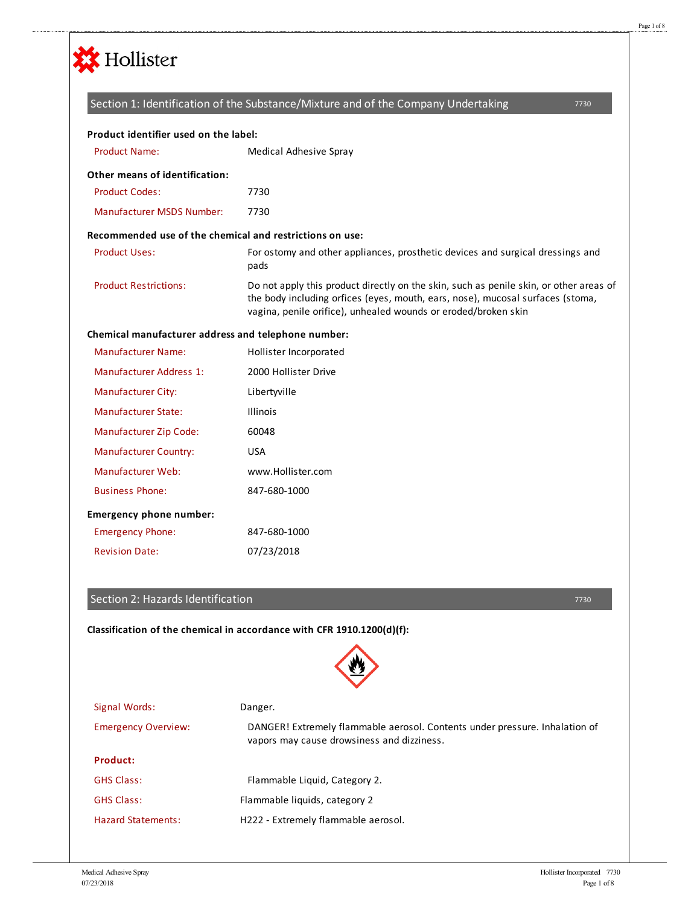

|                                                          | Section 1: Identification of the Substance/Mixture and of the Company Undertaking<br>7730                                                                                                                                                  |
|----------------------------------------------------------|--------------------------------------------------------------------------------------------------------------------------------------------------------------------------------------------------------------------------------------------|
| Product identifier used on the label:                    |                                                                                                                                                                                                                                            |
| <b>Product Name:</b>                                     | Medical Adhesive Spray                                                                                                                                                                                                                     |
| Other means of identification:                           |                                                                                                                                                                                                                                            |
| <b>Product Codes:</b>                                    | 7730                                                                                                                                                                                                                                       |
| <b>Manufacturer MSDS Number:</b>                         | 7730                                                                                                                                                                                                                                       |
| Recommended use of the chemical and restrictions on use: |                                                                                                                                                                                                                                            |
| <b>Product Uses:</b>                                     | For ostomy and other appliances, prosthetic devices and surgical dressings and<br>pads                                                                                                                                                     |
| <b>Product Restrictions:</b>                             | Do not apply this product directly on the skin, such as penile skin, or other areas of<br>the body including orfices (eyes, mouth, ears, nose), mucosal surfaces (stoma,<br>vagina, penile orifice), unhealed wounds or eroded/broken skin |
| Chemical manufacturer address and telephone number:      |                                                                                                                                                                                                                                            |
| <b>Manufacturer Name:</b>                                | Hollister Incorporated                                                                                                                                                                                                                     |
| Manufacturer Address 1:                                  | 2000 Hollister Drive                                                                                                                                                                                                                       |
| <b>Manufacturer City:</b>                                | Libertyville                                                                                                                                                                                                                               |
| Manufacturer State:                                      | <b>Illinois</b>                                                                                                                                                                                                                            |
| Manufacturer Zip Code:                                   | 60048                                                                                                                                                                                                                                      |
| <b>Manufacturer Country:</b>                             | <b>USA</b>                                                                                                                                                                                                                                 |
| Manufacturer Web:                                        | www.Hollister.com                                                                                                                                                                                                                          |
| <b>Business Phone:</b>                                   | 847-680-1000                                                                                                                                                                                                                               |
| <b>Emergency phone number:</b>                           |                                                                                                                                                                                                                                            |
| <b>Emergency Phone:</b>                                  | 847-680-1000                                                                                                                                                                                                                               |
| <b>Revision Date:</b>                                    | 07/23/2018                                                                                                                                                                                                                                 |

### Section 2: Hazards Identification

**Classification of the chemical in accordance with CFR 1910.1200(d)(f):**



| Signal Words:              | Danger.                                                                                                                   |
|----------------------------|---------------------------------------------------------------------------------------------------------------------------|
| <b>Emergency Overview:</b> | DANGER! Extremely flammable aerosol. Contents under pressure. Inhalation of<br>vapors may cause drowsiness and dizziness. |
| Product:                   |                                                                                                                           |
| <b>GHS Class:</b>          | Flammable Liquid, Category 2.                                                                                             |
| <b>GHS Class:</b>          | Flammable liquids, category 2                                                                                             |
| <b>Hazard Statements:</b>  | H222 - Extremely flammable aerosol.                                                                                       |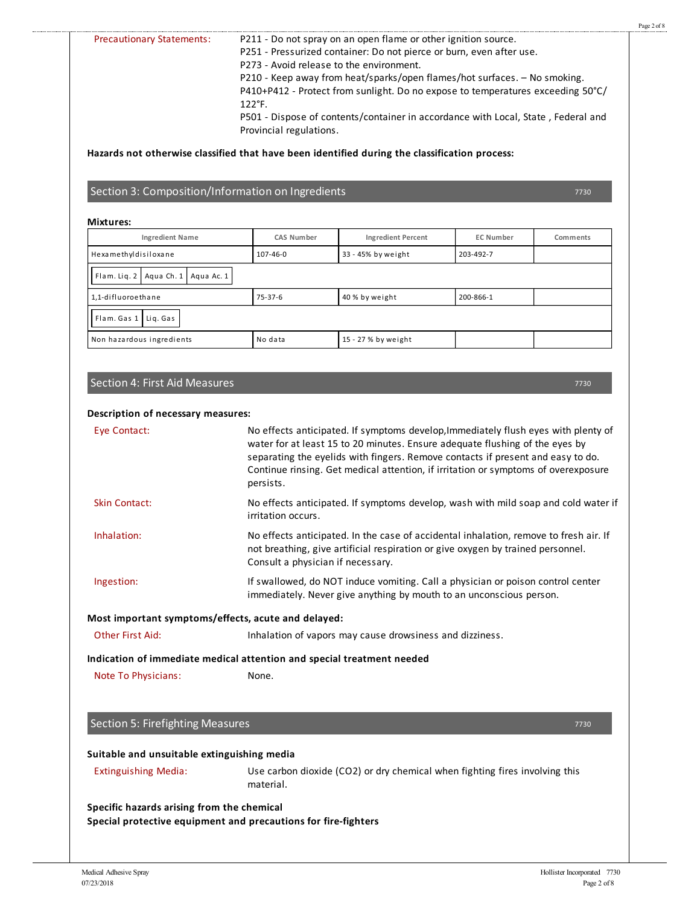|                                                                                                                                                      | P211 - Do not spray on an open flame or other ignition source.<br>P251 - Pressurized container: Do not pierce or burn, even after use.<br>P273 - Avoid release to the environment. |                                                                                                                                                                                                                                                   |                  |          |
|------------------------------------------------------------------------------------------------------------------------------------------------------|------------------------------------------------------------------------------------------------------------------------------------------------------------------------------------|---------------------------------------------------------------------------------------------------------------------------------------------------------------------------------------------------------------------------------------------------|------------------|----------|
|                                                                                                                                                      | 122°F.                                                                                                                                                                             | P210 - Keep away from heat/sparks/open flames/hot surfaces. - No smoking.<br>P410+P412 - Protect from sunlight. Do no expose to temperatures exceeding 50°C/<br>P501 - Dispose of contents/container in accordance with Local, State, Federal and |                  |          |
|                                                                                                                                                      | Provincial regulations.                                                                                                                                                            |                                                                                                                                                                                                                                                   |                  |          |
| Hazards not otherwise classified that have been identified during the classification process:                                                        |                                                                                                                                                                                    |                                                                                                                                                                                                                                                   |                  |          |
| Section 3: Composition/Information on Ingredients                                                                                                    |                                                                                                                                                                                    |                                                                                                                                                                                                                                                   |                  | 7730     |
| <b>Mixtures:</b>                                                                                                                                     |                                                                                                                                                                                    |                                                                                                                                                                                                                                                   |                  |          |
| <b>Ingredient Name</b>                                                                                                                               | <b>CAS Number</b>                                                                                                                                                                  | <b>Ingredient Percent</b>                                                                                                                                                                                                                         | <b>EC Number</b> | Comments |
| Hexamethyldisiloxane                                                                                                                                 | 107-46-0                                                                                                                                                                           | 33 - 45% by weight                                                                                                                                                                                                                                | 203-492-7        |          |
| Flam. Liq. 2   Aqua Ch. 1   Aqua Ac. 1                                                                                                               |                                                                                                                                                                                    |                                                                                                                                                                                                                                                   |                  |          |
| 1.1-difluoroethane                                                                                                                                   | $75 - 37 - 6$                                                                                                                                                                      | 40 % by weight                                                                                                                                                                                                                                    | 200-866-1        |          |
| Flam. Gas 1 Lig. Gas                                                                                                                                 |                                                                                                                                                                                    |                                                                                                                                                                                                                                                   |                  |          |
| Non hazardous ingredients                                                                                                                            | No data                                                                                                                                                                            | 15 - 27 % by weight                                                                                                                                                                                                                               |                  |          |
|                                                                                                                                                      |                                                                                                                                                                                    |                                                                                                                                                                                                                                                   |                  |          |
| Description of necessary measures:<br>Eye Contact:                                                                                                   | water for at least 15 to 20 minutes. Ensure adequate flushing of the eyes by                                                                                                       | No effects anticipated. If symptoms develop, Immediately flush eyes with plenty of                                                                                                                                                                |                  |          |
|                                                                                                                                                      |                                                                                                                                                                                    | separating the eyelids with fingers. Remove contacts if present and easy to do.                                                                                                                                                                   |                  |          |
|                                                                                                                                                      | persists.                                                                                                                                                                          | Continue rinsing. Get medical attention, if irritation or symptoms of overexposure                                                                                                                                                                |                  |          |
| <b>Skin Contact:</b>                                                                                                                                 | irritation occurs.                                                                                                                                                                 | No effects anticipated. If symptoms develop, wash with mild soap and cold water if                                                                                                                                                                |                  |          |
| Inhalation:                                                                                                                                          | Consult a physician if necessary.                                                                                                                                                  | No effects anticipated. In the case of accidental inhalation, remove to fresh air. If<br>not breathing, give artificial respiration or give oxygen by trained personnel.                                                                          |                  |          |
| Ingestion:                                                                                                                                           |                                                                                                                                                                                    | If swallowed, do NOT induce vomiting. Call a physician or poison control center<br>immediately. Never give anything by mouth to an unconscious person.                                                                                            |                  |          |
|                                                                                                                                                      |                                                                                                                                                                                    |                                                                                                                                                                                                                                                   |                  |          |
| Other First Aid:                                                                                                                                     |                                                                                                                                                                                    | Inhalation of vapors may cause drowsiness and dizziness.                                                                                                                                                                                          |                  |          |
|                                                                                                                                                      |                                                                                                                                                                                    |                                                                                                                                                                                                                                                   |                  |          |
| Most important symptoms/effects, acute and delayed:<br>Indication of immediate medical attention and special treatment needed<br>Note To Physicians: | None.                                                                                                                                                                              |                                                                                                                                                                                                                                                   |                  |          |
| Section 5: Firefighting Measures                                                                                                                     |                                                                                                                                                                                    |                                                                                                                                                                                                                                                   |                  | 7730     |
| Suitable and unsuitable extinguishing media                                                                                                          |                                                                                                                                                                                    |                                                                                                                                                                                                                                                   |                  |          |

.......................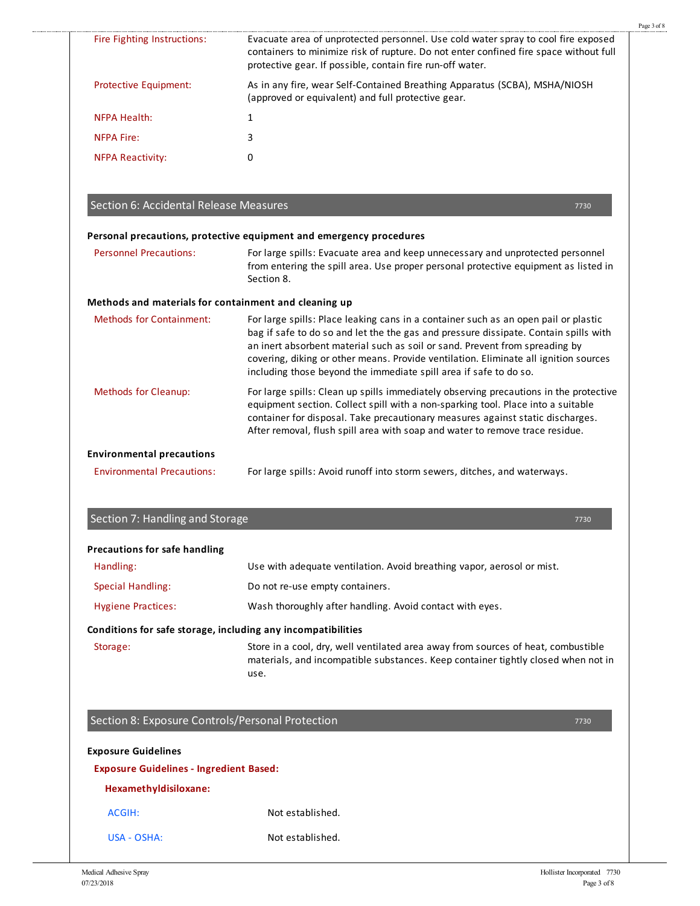| Evacuate area of unprotected personnel. Use cold water spray to cool fire exposed<br>Fire Fighting Instructions:<br>protective gear. If possible, contain fire run-off water.<br>As in any fire, wear Self-Contained Breathing Apparatus (SCBA), MSHA/NIOSH<br>Protective Equipment:<br>(approved or equivalent) and full protective gear.<br><b>NFPA Health:</b><br>$\mathbf{1}$<br>3<br><b>NFPA Fire:</b><br>0<br><b>NFPA Reactivity:</b><br>Section 6: Accidental Release Measures<br>7730<br>Personal precautions, protective equipment and emergency procedures<br><b>Personnel Precautions:</b><br>For large spills: Evacuate area and keep unnecessary and unprotected personnel<br>Section 8.<br>Methods and materials for containment and cleaning up<br><b>Methods for Containment:</b><br>For large spills: Place leaking cans in a container such as an open pail or plastic<br>bag if safe to do so and let the the gas and pressure dissipate. Contain spills with<br>an inert absorbent material such as soil or sand. Prevent from spreading by<br>covering, diking or other means. Provide ventilation. Eliminate all ignition sources<br>including those beyond the immediate spill area if safe to do so.<br><b>Methods for Cleanup:</b><br>equipment section. Collect spill with a non-sparking tool. Place into a suitable<br>container for disposal. Take precautionary measures against static discharges.<br>After removal, flush spill area with soap and water to remove trace residue.<br><b>Environmental precautions</b><br><b>Environmental Precautions:</b><br>For large spills: Avoid runoff into storm sewers, ditches, and waterways.<br>Section 7: Handling and Storage<br>7730<br><b>Precautions for safe handling</b><br>Handling:<br>Use with adequate ventilation. Avoid breathing vapor, aerosol or mist.<br><b>Special Handling:</b><br>Do not re-use empty containers.<br><b>Hygiene Practices:</b><br>Wash thoroughly after handling. Avoid contact with eyes.<br>Conditions for safe storage, including any incompatibilities<br>Store in a cool, dry, well ventilated area away from sources of heat, combustible<br>Storage:<br>use.<br>Section 8: Exposure Controls/Personal Protection<br>7730<br><b>Exposure Guidelines</b><br><b>Exposure Guidelines - Ingredient Based:</b><br>Hexamethyldisiloxane:<br>Not established.<br><b>ACGIH:</b> |             |                                                                                       |
|----------------------------------------------------------------------------------------------------------------------------------------------------------------------------------------------------------------------------------------------------------------------------------------------------------------------------------------------------------------------------------------------------------------------------------------------------------------------------------------------------------------------------------------------------------------------------------------------------------------------------------------------------------------------------------------------------------------------------------------------------------------------------------------------------------------------------------------------------------------------------------------------------------------------------------------------------------------------------------------------------------------------------------------------------------------------------------------------------------------------------------------------------------------------------------------------------------------------------------------------------------------------------------------------------------------------------------------------------------------------------------------------------------------------------------------------------------------------------------------------------------------------------------------------------------------------------------------------------------------------------------------------------------------------------------------------------------------------------------------------------------------------------------------------------------------------------------------------------------------------------------------------------------------------------------------------------------------------------------------------------------------------------------------------------------------------------------------------------------------------------------------------------------------------------------------------------------------------------------------------------------------------------------------------------------------------------------------------------------------------------------------------|-------------|---------------------------------------------------------------------------------------|
| from entering the spill area. Use proper personal protective equipment as listed in                                                                                                                                                                                                                                                                                                                                                                                                                                                                                                                                                                                                                                                                                                                                                                                                                                                                                                                                                                                                                                                                                                                                                                                                                                                                                                                                                                                                                                                                                                                                                                                                                                                                                                                                                                                                                                                                                                                                                                                                                                                                                                                                                                                                                                                                                                          |             | containers to minimize risk of rupture. Do not enter confined fire space without full |
|                                                                                                                                                                                                                                                                                                                                                                                                                                                                                                                                                                                                                                                                                                                                                                                                                                                                                                                                                                                                                                                                                                                                                                                                                                                                                                                                                                                                                                                                                                                                                                                                                                                                                                                                                                                                                                                                                                                                                                                                                                                                                                                                                                                                                                                                                                                                                                                              |             |                                                                                       |
|                                                                                                                                                                                                                                                                                                                                                                                                                                                                                                                                                                                                                                                                                                                                                                                                                                                                                                                                                                                                                                                                                                                                                                                                                                                                                                                                                                                                                                                                                                                                                                                                                                                                                                                                                                                                                                                                                                                                                                                                                                                                                                                                                                                                                                                                                                                                                                                              |             |                                                                                       |
|                                                                                                                                                                                                                                                                                                                                                                                                                                                                                                                                                                                                                                                                                                                                                                                                                                                                                                                                                                                                                                                                                                                                                                                                                                                                                                                                                                                                                                                                                                                                                                                                                                                                                                                                                                                                                                                                                                                                                                                                                                                                                                                                                                                                                                                                                                                                                                                              |             |                                                                                       |
|                                                                                                                                                                                                                                                                                                                                                                                                                                                                                                                                                                                                                                                                                                                                                                                                                                                                                                                                                                                                                                                                                                                                                                                                                                                                                                                                                                                                                                                                                                                                                                                                                                                                                                                                                                                                                                                                                                                                                                                                                                                                                                                                                                                                                                                                                                                                                                                              |             |                                                                                       |
|                                                                                                                                                                                                                                                                                                                                                                                                                                                                                                                                                                                                                                                                                                                                                                                                                                                                                                                                                                                                                                                                                                                                                                                                                                                                                                                                                                                                                                                                                                                                                                                                                                                                                                                                                                                                                                                                                                                                                                                                                                                                                                                                                                                                                                                                                                                                                                                              |             |                                                                                       |
|                                                                                                                                                                                                                                                                                                                                                                                                                                                                                                                                                                                                                                                                                                                                                                                                                                                                                                                                                                                                                                                                                                                                                                                                                                                                                                                                                                                                                                                                                                                                                                                                                                                                                                                                                                                                                                                                                                                                                                                                                                                                                                                                                                                                                                                                                                                                                                                              |             |                                                                                       |
|                                                                                                                                                                                                                                                                                                                                                                                                                                                                                                                                                                                                                                                                                                                                                                                                                                                                                                                                                                                                                                                                                                                                                                                                                                                                                                                                                                                                                                                                                                                                                                                                                                                                                                                                                                                                                                                                                                                                                                                                                                                                                                                                                                                                                                                                                                                                                                                              |             |                                                                                       |
|                                                                                                                                                                                                                                                                                                                                                                                                                                                                                                                                                                                                                                                                                                                                                                                                                                                                                                                                                                                                                                                                                                                                                                                                                                                                                                                                                                                                                                                                                                                                                                                                                                                                                                                                                                                                                                                                                                                                                                                                                                                                                                                                                                                                                                                                                                                                                                                              |             |                                                                                       |
|                                                                                                                                                                                                                                                                                                                                                                                                                                                                                                                                                                                                                                                                                                                                                                                                                                                                                                                                                                                                                                                                                                                                                                                                                                                                                                                                                                                                                                                                                                                                                                                                                                                                                                                                                                                                                                                                                                                                                                                                                                                                                                                                                                                                                                                                                                                                                                                              |             |                                                                                       |
|                                                                                                                                                                                                                                                                                                                                                                                                                                                                                                                                                                                                                                                                                                                                                                                                                                                                                                                                                                                                                                                                                                                                                                                                                                                                                                                                                                                                                                                                                                                                                                                                                                                                                                                                                                                                                                                                                                                                                                                                                                                                                                                                                                                                                                                                                                                                                                                              |             | For large spills: Clean up spills immediately observing precautions in the protective |
|                                                                                                                                                                                                                                                                                                                                                                                                                                                                                                                                                                                                                                                                                                                                                                                                                                                                                                                                                                                                                                                                                                                                                                                                                                                                                                                                                                                                                                                                                                                                                                                                                                                                                                                                                                                                                                                                                                                                                                                                                                                                                                                                                                                                                                                                                                                                                                                              |             |                                                                                       |
|                                                                                                                                                                                                                                                                                                                                                                                                                                                                                                                                                                                                                                                                                                                                                                                                                                                                                                                                                                                                                                                                                                                                                                                                                                                                                                                                                                                                                                                                                                                                                                                                                                                                                                                                                                                                                                                                                                                                                                                                                                                                                                                                                                                                                                                                                                                                                                                              |             |                                                                                       |
|                                                                                                                                                                                                                                                                                                                                                                                                                                                                                                                                                                                                                                                                                                                                                                                                                                                                                                                                                                                                                                                                                                                                                                                                                                                                                                                                                                                                                                                                                                                                                                                                                                                                                                                                                                                                                                                                                                                                                                                                                                                                                                                                                                                                                                                                                                                                                                                              |             |                                                                                       |
|                                                                                                                                                                                                                                                                                                                                                                                                                                                                                                                                                                                                                                                                                                                                                                                                                                                                                                                                                                                                                                                                                                                                                                                                                                                                                                                                                                                                                                                                                                                                                                                                                                                                                                                                                                                                                                                                                                                                                                                                                                                                                                                                                                                                                                                                                                                                                                                              |             |                                                                                       |
|                                                                                                                                                                                                                                                                                                                                                                                                                                                                                                                                                                                                                                                                                                                                                                                                                                                                                                                                                                                                                                                                                                                                                                                                                                                                                                                                                                                                                                                                                                                                                                                                                                                                                                                                                                                                                                                                                                                                                                                                                                                                                                                                                                                                                                                                                                                                                                                              |             |                                                                                       |
|                                                                                                                                                                                                                                                                                                                                                                                                                                                                                                                                                                                                                                                                                                                                                                                                                                                                                                                                                                                                                                                                                                                                                                                                                                                                                                                                                                                                                                                                                                                                                                                                                                                                                                                                                                                                                                                                                                                                                                                                                                                                                                                                                                                                                                                                                                                                                                                              |             |                                                                                       |
|                                                                                                                                                                                                                                                                                                                                                                                                                                                                                                                                                                                                                                                                                                                                                                                                                                                                                                                                                                                                                                                                                                                                                                                                                                                                                                                                                                                                                                                                                                                                                                                                                                                                                                                                                                                                                                                                                                                                                                                                                                                                                                                                                                                                                                                                                                                                                                                              |             |                                                                                       |
|                                                                                                                                                                                                                                                                                                                                                                                                                                                                                                                                                                                                                                                                                                                                                                                                                                                                                                                                                                                                                                                                                                                                                                                                                                                                                                                                                                                                                                                                                                                                                                                                                                                                                                                                                                                                                                                                                                                                                                                                                                                                                                                                                                                                                                                                                                                                                                                              |             |                                                                                       |
|                                                                                                                                                                                                                                                                                                                                                                                                                                                                                                                                                                                                                                                                                                                                                                                                                                                                                                                                                                                                                                                                                                                                                                                                                                                                                                                                                                                                                                                                                                                                                                                                                                                                                                                                                                                                                                                                                                                                                                                                                                                                                                                                                                                                                                                                                                                                                                                              |             |                                                                                       |
|                                                                                                                                                                                                                                                                                                                                                                                                                                                                                                                                                                                                                                                                                                                                                                                                                                                                                                                                                                                                                                                                                                                                                                                                                                                                                                                                                                                                                                                                                                                                                                                                                                                                                                                                                                                                                                                                                                                                                                                                                                                                                                                                                                                                                                                                                                                                                                                              |             |                                                                                       |
|                                                                                                                                                                                                                                                                                                                                                                                                                                                                                                                                                                                                                                                                                                                                                                                                                                                                                                                                                                                                                                                                                                                                                                                                                                                                                                                                                                                                                                                                                                                                                                                                                                                                                                                                                                                                                                                                                                                                                                                                                                                                                                                                                                                                                                                                                                                                                                                              |             |                                                                                       |
|                                                                                                                                                                                                                                                                                                                                                                                                                                                                                                                                                                                                                                                                                                                                                                                                                                                                                                                                                                                                                                                                                                                                                                                                                                                                                                                                                                                                                                                                                                                                                                                                                                                                                                                                                                                                                                                                                                                                                                                                                                                                                                                                                                                                                                                                                                                                                                                              |             | materials, and incompatible substances. Keep container tightly closed when not in     |
|                                                                                                                                                                                                                                                                                                                                                                                                                                                                                                                                                                                                                                                                                                                                                                                                                                                                                                                                                                                                                                                                                                                                                                                                                                                                                                                                                                                                                                                                                                                                                                                                                                                                                                                                                                                                                                                                                                                                                                                                                                                                                                                                                                                                                                                                                                                                                                                              |             |                                                                                       |
|                                                                                                                                                                                                                                                                                                                                                                                                                                                                                                                                                                                                                                                                                                                                                                                                                                                                                                                                                                                                                                                                                                                                                                                                                                                                                                                                                                                                                                                                                                                                                                                                                                                                                                                                                                                                                                                                                                                                                                                                                                                                                                                                                                                                                                                                                                                                                                                              |             |                                                                                       |
|                                                                                                                                                                                                                                                                                                                                                                                                                                                                                                                                                                                                                                                                                                                                                                                                                                                                                                                                                                                                                                                                                                                                                                                                                                                                                                                                                                                                                                                                                                                                                                                                                                                                                                                                                                                                                                                                                                                                                                                                                                                                                                                                                                                                                                                                                                                                                                                              |             |                                                                                       |
|                                                                                                                                                                                                                                                                                                                                                                                                                                                                                                                                                                                                                                                                                                                                                                                                                                                                                                                                                                                                                                                                                                                                                                                                                                                                                                                                                                                                                                                                                                                                                                                                                                                                                                                                                                                                                                                                                                                                                                                                                                                                                                                                                                                                                                                                                                                                                                                              | USA - OSHA: | Not established.                                                                      |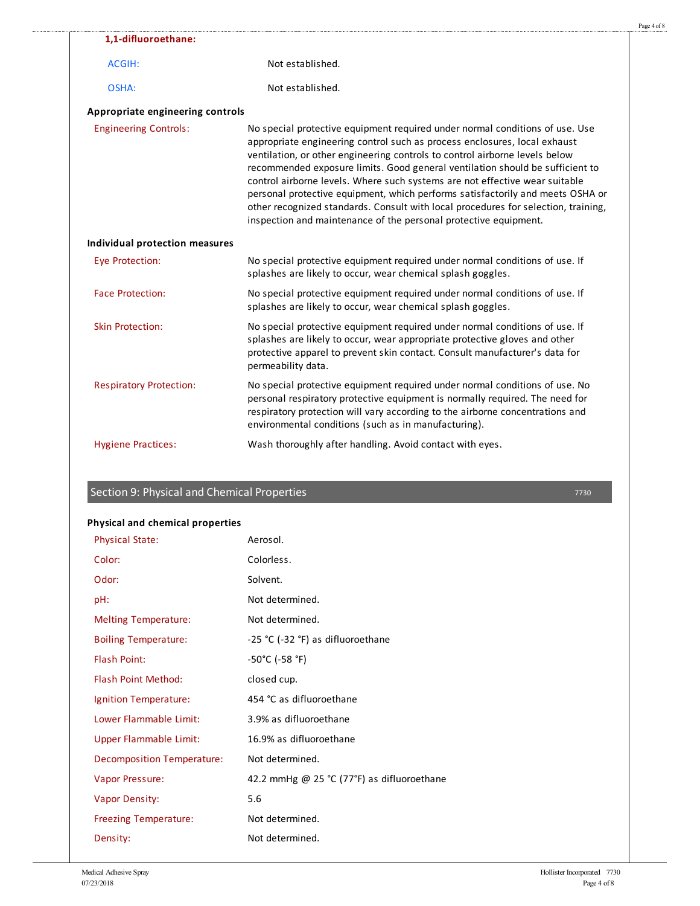|                                  |                                                                                                                                                                                                                                                                                                                                                                                                                                                                                                                                                                                                                                                      | Page 4 of 8 |
|----------------------------------|------------------------------------------------------------------------------------------------------------------------------------------------------------------------------------------------------------------------------------------------------------------------------------------------------------------------------------------------------------------------------------------------------------------------------------------------------------------------------------------------------------------------------------------------------------------------------------------------------------------------------------------------------|-------------|
| 1,1-difluoroethane:              |                                                                                                                                                                                                                                                                                                                                                                                                                                                                                                                                                                                                                                                      |             |
| ACGIH:                           | Not established.                                                                                                                                                                                                                                                                                                                                                                                                                                                                                                                                                                                                                                     |             |
| OSHA:                            | Not established.                                                                                                                                                                                                                                                                                                                                                                                                                                                                                                                                                                                                                                     |             |
| Appropriate engineering controls |                                                                                                                                                                                                                                                                                                                                                                                                                                                                                                                                                                                                                                                      |             |
| <b>Engineering Controls:</b>     | No special protective equipment required under normal conditions of use. Use<br>appropriate engineering control such as process enclosures, local exhaust<br>ventilation, or other engineering controls to control airborne levels below<br>recommended exposure limits. Good general ventilation should be sufficient to<br>control airborne levels. Where such systems are not effective wear suitable<br>personal protective equipment, which performs satisfactorily and meets OSHA or<br>other recognized standards. Consult with local procedures for selection, training,<br>inspection and maintenance of the personal protective equipment. |             |
| Individual protection measures   |                                                                                                                                                                                                                                                                                                                                                                                                                                                                                                                                                                                                                                                      |             |
| Eye Protection:                  | No special protective equipment required under normal conditions of use. If<br>splashes are likely to occur, wear chemical splash goggles.                                                                                                                                                                                                                                                                                                                                                                                                                                                                                                           |             |
| <b>Face Protection:</b>          | No special protective equipment required under normal conditions of use. If<br>splashes are likely to occur, wear chemical splash goggles.                                                                                                                                                                                                                                                                                                                                                                                                                                                                                                           |             |
| <b>Skin Protection:</b>          | No special protective equipment required under normal conditions of use. If<br>splashes are likely to occur, wear appropriate protective gloves and other<br>protective apparel to prevent skin contact. Consult manufacturer's data for<br>permeability data.                                                                                                                                                                                                                                                                                                                                                                                       |             |
| <b>Respiratory Protection:</b>   | No special protective equipment required under normal conditions of use. No<br>personal respiratory protective equipment is normally required. The need for<br>respiratory protection will vary according to the airborne concentrations and<br>environmental conditions (such as in manufacturing).                                                                                                                                                                                                                                                                                                                                                 |             |
| <b>Hygiene Practices:</b>        | Wash thoroughly after handling. Avoid contact with eyes.                                                                                                                                                                                                                                                                                                                                                                                                                                                                                                                                                                                             |             |
|                                  |                                                                                                                                                                                                                                                                                                                                                                                                                                                                                                                                                                                                                                                      |             |

## Section 9: Physical and Chemical Properties

#### **Physical and chemical properties**

.......................

| <b>Physical State:</b>        | Aerosol.                                   |
|-------------------------------|--------------------------------------------|
| Color:                        | Colorless.                                 |
| Odor:                         | Solvent.                                   |
| pH:                           | Not determined.                            |
| <b>Melting Temperature:</b>   | Not determined.                            |
| <b>Boiling Temperature:</b>   | -25 °C (-32 °F) as difluoroethane          |
| <b>Flash Point:</b>           | -50°C (-58 °F)                             |
| <b>Flash Point Method:</b>    | closed cup.                                |
| Ignition Temperature:         | 454 °C as difluoroethane                   |
| Lower Flammable Limit:        | 3.9% as difluoroethane                     |
| <b>Upper Flammable Limit:</b> | 16.9% as difluoroethane                    |
| Decomposition Temperature:    | Not determined.                            |
| <b>Vapor Pressure:</b>        | 42.2 mmHg @ 25 °C (77°F) as difluoroethane |
| <b>Vapor Density:</b>         | 5.6                                        |
| <b>Freezing Temperature:</b>  | Not determined.                            |
| Density:                      | Not determined.                            |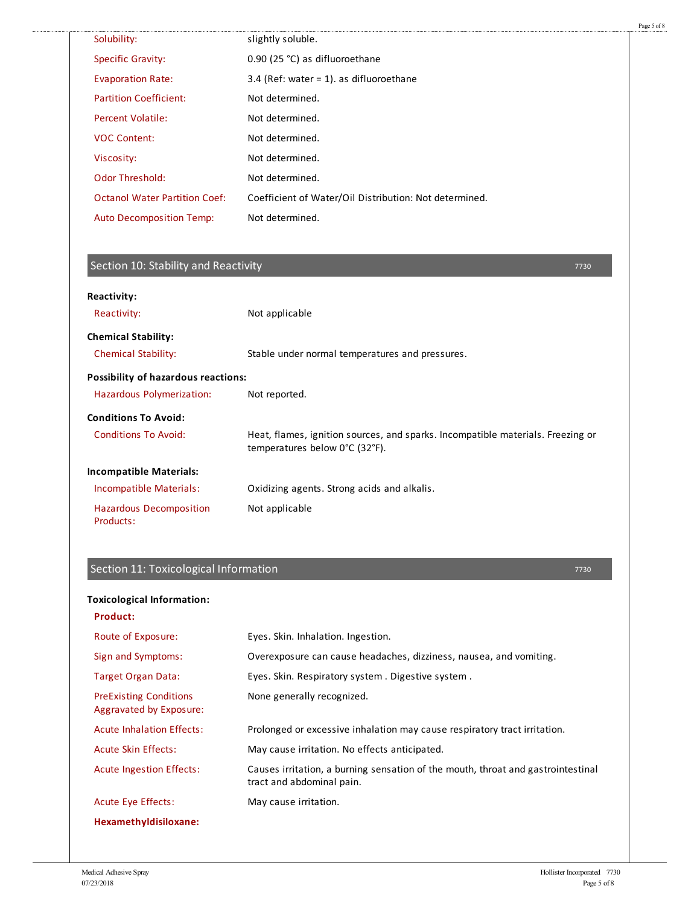| Solubility:                          | slightly soluble.                                      |  |
|--------------------------------------|--------------------------------------------------------|--|
| <b>Specific Gravity:</b>             | 0.90 (25 °C) as difluoroethane                         |  |
| <b>Evaporation Rate:</b>             | 3.4 (Ref: water = 1). as difluoroethane                |  |
| <b>Partition Coefficient:</b>        | Not determined.                                        |  |
| Percent Volatile:                    | Not determined.                                        |  |
| <b>VOC Content:</b>                  | Not determined.                                        |  |
| Viscosity:                           | Not determined.                                        |  |
| <b>Odor Threshold:</b>               | Not determined.                                        |  |
| <b>Octanol Water Partition Coef:</b> | Coefficient of Water/Oil Distribution: Not determined. |  |
| <b>Auto Decomposition Temp:</b>      | Not determined.                                        |  |
|                                      |                                                        |  |

#### Section 10: Stability and Reactivity

. . . . . . . . . . . . . . . .

Reactivity: Not applicable Chemical Stability: Stable under normal temperatures and pressures. Hazardous Polymerization: Not reported. Conditions To Avoid: Heat, flames, ignition sources, and sparks. Incompatible materials. Freezing or temperatures below 0°C (32°F). Incompatible Materials: Oxidizing agents. Strong acids and alkalis. Hazardous Decomposition Products: Not applicable **Reactivity: Chemical Stability: Possibility of hazardous reactions: Conditions To Avoid: Incompatible Materials:**

#### Section 11: Toxicological Information

**Product:** Route of Exposure: Eyes. Skin. Inhalation. Ingestion. Sign and Symptoms: Overexposure can cause headaches, dizziness, nausea, and vomiting. Target Organ Data: Eyes. Skin. Respiratory system . Digestive system . PreExisting Conditions Aggravated by Exposure: None generally recognized. Acute Inhalation Effects: Prolonged or excessive inhalation may cause respiratory tract irritation. Acute Skin Effects: May cause irritation. No effects anticipated. Acute Ingestion Effects: Causes irritation, a burning sensation of the mouth, throat and gastrointestinal tract and abdominal pain. Acute Eye Effects: May cause irritation. **Hexamethyldisiloxane: Toxicological Information:**

7730

Page 5 of 8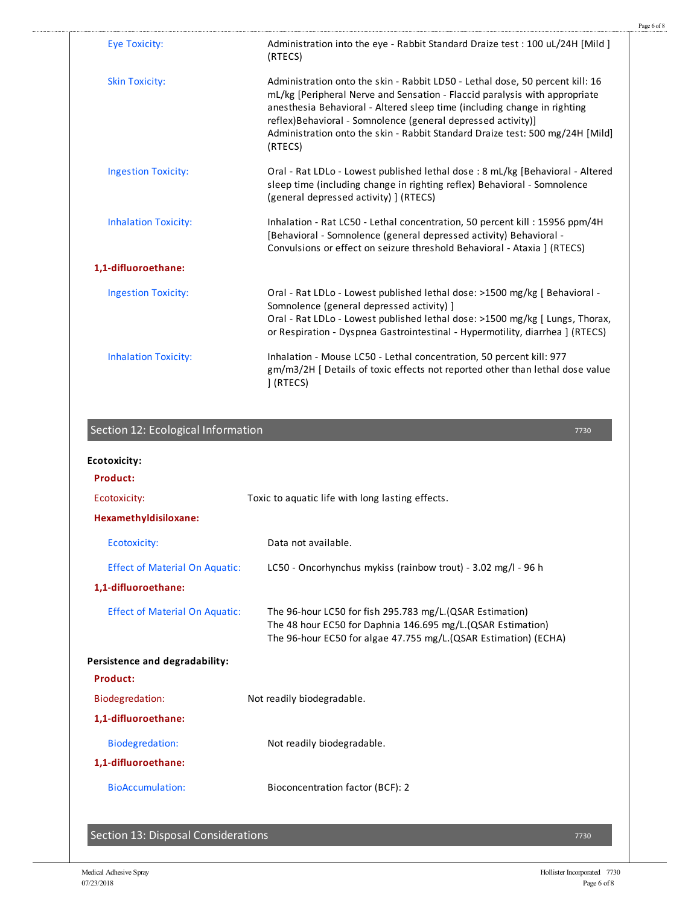| <b>Eye Toxicity:</b>        | Administration into the eye - Rabbit Standard Draize test: 100 uL/24H [Mild ]<br>(RTECS)                                                                                                                                                                                                                                                                                                             |  |
|-----------------------------|------------------------------------------------------------------------------------------------------------------------------------------------------------------------------------------------------------------------------------------------------------------------------------------------------------------------------------------------------------------------------------------------------|--|
| <b>Skin Toxicity:</b>       | Administration onto the skin - Rabbit LD50 - Lethal dose, 50 percent kill: 16<br>mL/kg [Peripheral Nerve and Sensation - Flaccid paralysis with appropriate<br>anesthesia Behavioral - Altered sleep time (including change in righting<br>reflex) Behavioral - Somnolence (general depressed activity)]<br>Administration onto the skin - Rabbit Standard Draize test: 500 mg/24H [Mild]<br>(RTECS) |  |
| <b>Ingestion Toxicity:</b>  | Oral - Rat LDLo - Lowest published lethal dose : 8 mL/kg [Behavioral - Altered<br>sleep time (including change in righting reflex) Behavioral - Somnolence<br>(general depressed activity) ] (RTECS)                                                                                                                                                                                                 |  |
| <b>Inhalation Toxicity:</b> | Inhalation - Rat LC50 - Lethal concentration, 50 percent kill: 15956 ppm/4H<br>[Behavioral - Somnolence (general depressed activity) Behavioral -<br>Convulsions or effect on seizure threshold Behavioral - Ataxia ] (RTECS)                                                                                                                                                                        |  |
| 1,1-difluoroethane:         |                                                                                                                                                                                                                                                                                                                                                                                                      |  |
| <b>Ingestion Toxicity:</b>  | Oral - Rat LDLo - Lowest published lethal dose: >1500 mg/kg   Behavioral -<br>Somnolence (general depressed activity) ]<br>Oral - Rat LDLo - Lowest published lethal dose: >1500 mg/kg [ Lungs, Thorax,<br>or Respiration - Dyspnea Gastrointestinal - Hypermotility, diarrhea ] (RTECS)                                                                                                             |  |
| <b>Inhalation Toxicity:</b> | Inhalation - Mouse LC50 - Lethal concentration, 50 percent kill: 977<br>gm/m3/2H   Details of toxic effects not reported other than lethal dose value<br>1 (RTECS)                                                                                                                                                                                                                                   |  |

#### Section 12: Ecological Information

............

# **Product:** Ecotoxicity: Toxic to aquatic life with long lasting effects. **Hexamethyldisiloxane:** Ecotoxicity: Data not available. Effect of Material On Aquatic: LC50 - Oncorhynchus mykiss (rainbow trout) - 3.02 mg/l - 96 h **1,1-difluoroethane:** Effect of Material On Aquatic: The 96-hour LC50 for fish 295.783 mg/L.(QSAR Estimation) The 48 hour EC50 for Daphnia 146.695 mg/L.(QSAR Estimation) The 96-hour EC50 for algae 47.755 mg/L.(QSAR Estimation) (ECHA) **Product:** Biodegredation: Not readily biodegradable. **1,1-difluoroethane:** Biodegredation: Not readily biodegradable. **1,1-difluoroethane:** BioAccumulation: Bioconcentration factor (BCF): 2 **Ecotoxicity: Persistence and degradability:**

Section 13: Disposal Considerations

7730

Page 6 of 8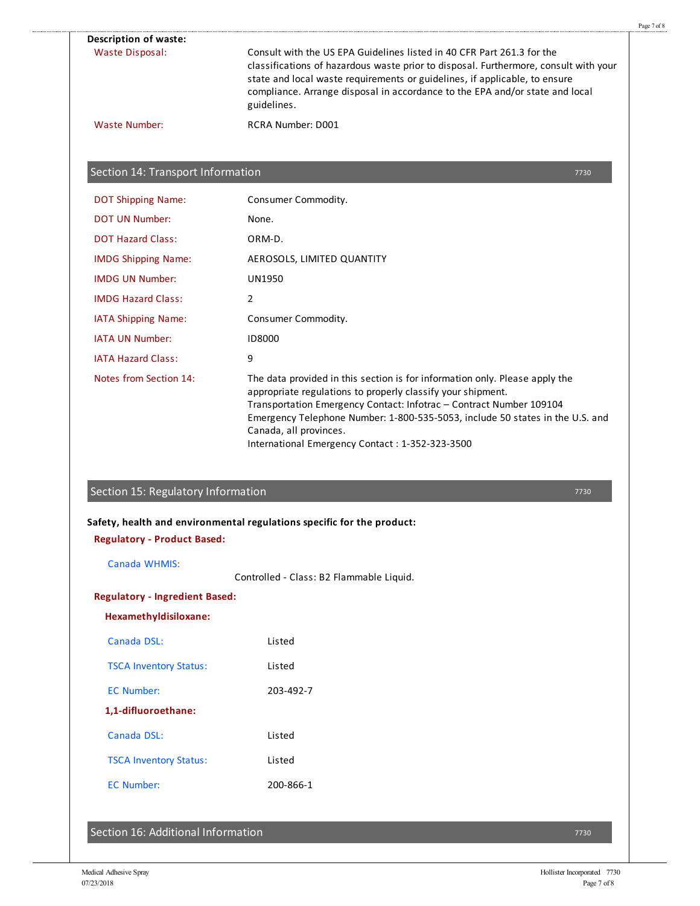| <b>Waste Disposal:</b>                                                   | Consult with the US EPA Guidelines listed in 40 CFR Part 261.3 for the<br>classifications of hazardous waste prior to disposal. Furthermore, consult with your<br>state and local waste requirements or guidelines, if applicable, to ensure<br>compliance. Arrange disposal in accordance to the EPA and/or state and local<br>guidelines. |
|--------------------------------------------------------------------------|---------------------------------------------------------------------------------------------------------------------------------------------------------------------------------------------------------------------------------------------------------------------------------------------------------------------------------------------|
| <b>Waste Number:</b>                                                     | <b>RCRA Number: D001</b>                                                                                                                                                                                                                                                                                                                    |
| Section 14: Transport Information                                        |                                                                                                                                                                                                                                                                                                                                             |
|                                                                          | 7730                                                                                                                                                                                                                                                                                                                                        |
| <b>DOT Shipping Name:</b><br><b>DOT UN Number:</b>                       | Consumer Commodity.<br>None.                                                                                                                                                                                                                                                                                                                |
| <b>DOT Hazard Class:</b>                                                 | ORM-D.                                                                                                                                                                                                                                                                                                                                      |
| <b>IMDG Shipping Name:</b>                                               | AEROSOLS, LIMITED QUANTITY                                                                                                                                                                                                                                                                                                                  |
| <b>IMDG UN Number:</b>                                                   | <b>UN1950</b>                                                                                                                                                                                                                                                                                                                               |
| <b>IMDG Hazard Class:</b>                                                | 2                                                                                                                                                                                                                                                                                                                                           |
| IATA Shipping Name:                                                      | Consumer Commodity.                                                                                                                                                                                                                                                                                                                         |
| <b>IATA UN Number:</b>                                                   | <b>ID8000</b>                                                                                                                                                                                                                                                                                                                               |
| <b>IATA Hazard Class:</b>                                                | 9                                                                                                                                                                                                                                                                                                                                           |
|                                                                          | The data provided in this section is for information only. Please apply the                                                                                                                                                                                                                                                                 |
| Notes from Section 14:                                                   | appropriate regulations to properly classify your shipment.<br>Transportation Emergency Contact: Infotrac - Contract Number 109104<br>Canada, all provinces.<br>International Emergency Contact: 1-352-323-3500                                                                                                                             |
| Section 15: Regulatory Information<br><b>Regulatory - Product Based:</b> | 7730<br>Safety, health and environmental regulations specific for the product:                                                                                                                                                                                                                                                              |
| Canada WHMIS:                                                            | Controlled - Class: B2 Flammable Liquid.                                                                                                                                                                                                                                                                                                    |
| <b>Regulatory - Ingredient Based:</b>                                    |                                                                                                                                                                                                                                                                                                                                             |
| Hexamethyldisiloxane:                                                    | Emergency Telephone Number: 1-800-535-5053, include 50 states in the U.S. and                                                                                                                                                                                                                                                               |
| Canada DSL:                                                              | Listed                                                                                                                                                                                                                                                                                                                                      |
| <b>TSCA Inventory Status:</b>                                            | Listed                                                                                                                                                                                                                                                                                                                                      |
|                                                                          |                                                                                                                                                                                                                                                                                                                                             |
| <b>EC Number:</b>                                                        | 203-492-7                                                                                                                                                                                                                                                                                                                                   |
| 1,1-difluoroethane:                                                      |                                                                                                                                                                                                                                                                                                                                             |
| Canada DSL:                                                              | Listed                                                                                                                                                                                                                                                                                                                                      |
| <b>TSCA Inventory Status:</b>                                            | Listed                                                                                                                                                                                                                                                                                                                                      |

Page 7 of 8